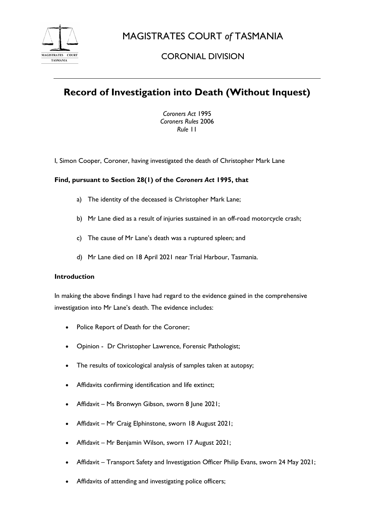

MAGISTRATES COURT *of* TASMANIA

# CORONIAL DIVISION

# **Record of Investigation into Death (Without Inquest)**

*Coroners Act* 1995 *Coroners Rules* 2006 *Rule* 11

I, Simon Cooper, Coroner, having investigated the death of Christopher Mark Lane

# **Find, pursuant to Section 28(1) of the** *Coroners Act* **1995, that**

- a) The identity of the deceased is Christopher Mark Lane;
- b) Mr Lane died as a result of injuries sustained in an off-road motorcycle crash;
- c) The cause of Mr Lane's death was a ruptured spleen; and
- d) Mr Lane died on 18 April 2021 near Trial Harbour, Tasmania.

## **Introduction**

In making the above findings I have had regard to the evidence gained in the comprehensive investigation into Mr Lane's death. The evidence includes:

- Police Report of Death for the Coroner;
- Opinion Dr Christopher Lawrence, Forensic Pathologist;
- The results of toxicological analysis of samples taken at autopsy;
- Affidavits confirming identification and life extinct;
- Affidavit Ms Bronwyn Gibson, sworn 8 June 2021;
- Affidavit Mr Craig Elphinstone, sworn 18 August 2021;
- Affidavit Mr Benjamin Wilson, sworn 17 August 2021;
- Affidavit Transport Safety and Investigation Officer Philip Evans, sworn 24 May 2021;
- Affidavits of attending and investigating police officers;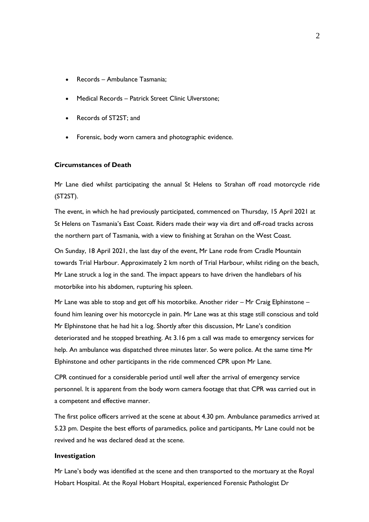- Records Ambulance Tasmania;
- Medical Records Patrick Street Clinic Ulverstone;
- Records of ST2ST; and
- Forensic, body worn camera and photographic evidence.

#### **Circumstances of Death**

Mr Lane died whilst participating the annual St Helens to Strahan off road motorcycle ride (ST2ST).

The event, in which he had previously participated, commenced on Thursday, 15 April 2021 at St Helens on Tasmania's East Coast. Riders made their way via dirt and off-road tracks across the northern part of Tasmania, with a view to finishing at Strahan on the West Coast.

On Sunday, 18 April 2021, the last day of the event, Mr Lane rode from Cradle Mountain towards Trial Harbour. Approximately 2 km north of Trial Harbour, whilst riding on the beach, Mr Lane struck a log in the sand. The impact appears to have driven the handlebars of his motorbike into his abdomen, rupturing his spleen.

Mr Lane was able to stop and get off his motorbike. Another rider – Mr Craig Elphinstone – found him leaning over his motorcycle in pain. Mr Lane was at this stage still conscious and told Mr Elphinstone that he had hit a log. Shortly after this discussion, Mr Lane's condition deteriorated and he stopped breathing. At 3.16 pm a call was made to emergency services for help. An ambulance was dispatched three minutes later. So were police. At the same time Mr Elphinstone and other participants in the ride commenced CPR upon Mr Lane.

CPR continued for a considerable period until well after the arrival of emergency service personnel. It is apparent from the body worn camera footage that that CPR was carried out in a competent and effective manner.

The first police officers arrived at the scene at about 4.30 pm. Ambulance paramedics arrived at 5.23 pm. Despite the best efforts of paramedics, police and participants, Mr Lane could not be revived and he was declared dead at the scene.

#### **Investigation**

Mr Lane's body was identified at the scene and then transported to the mortuary at the Royal Hobart Hospital. At the Royal Hobart Hospital, experienced Forensic Pathologist Dr